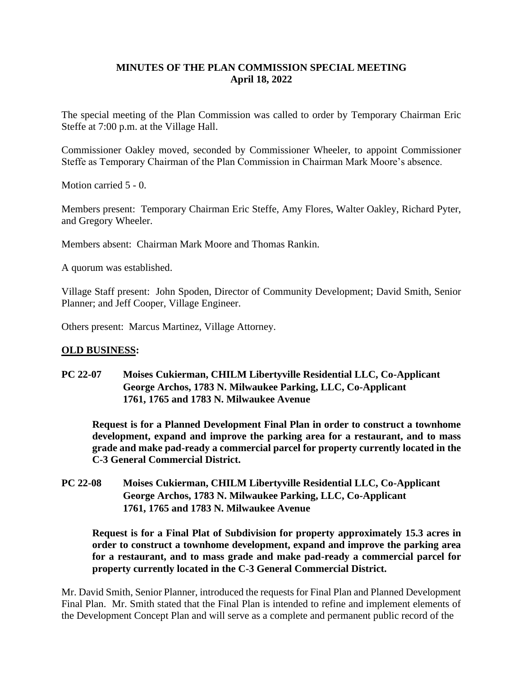# **MINUTES OF THE PLAN COMMISSION SPECIAL MEETING April 18, 2022**

The special meeting of the Plan Commission was called to order by Temporary Chairman Eric Steffe at 7:00 p.m. at the Village Hall.

Commissioner Oakley moved, seconded by Commissioner Wheeler, to appoint Commissioner Steffe as Temporary Chairman of the Plan Commission in Chairman Mark Moore's absence.

Motion carried 5 - 0.

Members present: Temporary Chairman Eric Steffe, Amy Flores, Walter Oakley, Richard Pyter, and Gregory Wheeler.

Members absent: Chairman Mark Moore and Thomas Rankin.

A quorum was established.

Village Staff present: John Spoden, Director of Community Development; David Smith, Senior Planner; and Jeff Cooper, Village Engineer.

Others present: Marcus Martinez, Village Attorney.

#### **OLD BUSINESS:**

**PC 22-07 Moises Cukierman, CHILM Libertyville Residential LLC, Co-Applicant George Archos, 1783 N. Milwaukee Parking, LLC, Co-Applicant 1761, 1765 and 1783 N. Milwaukee Avenue**

**Request is for a Planned Development Final Plan in order to construct a townhome development, expand and improve the parking area for a restaurant, and to mass grade and make pad-ready a commercial parcel for property currently located in the C-3 General Commercial District.**

**PC 22-08 Moises Cukierman, CHILM Libertyville Residential LLC, Co-Applicant George Archos, 1783 N. Milwaukee Parking, LLC, Co-Applicant 1761, 1765 and 1783 N. Milwaukee Avenue**

**Request is for a Final Plat of Subdivision for property approximately 15.3 acres in order to construct a townhome development, expand and improve the parking area for a restaurant, and to mass grade and make pad-ready a commercial parcel for property currently located in the C-3 General Commercial District.**

Mr. David Smith, Senior Planner, introduced the requests for Final Plan and Planned Development Final Plan. Mr. Smith stated that the Final Plan is intended to refine and implement elements of the Development Concept Plan and will serve as a complete and permanent public record of the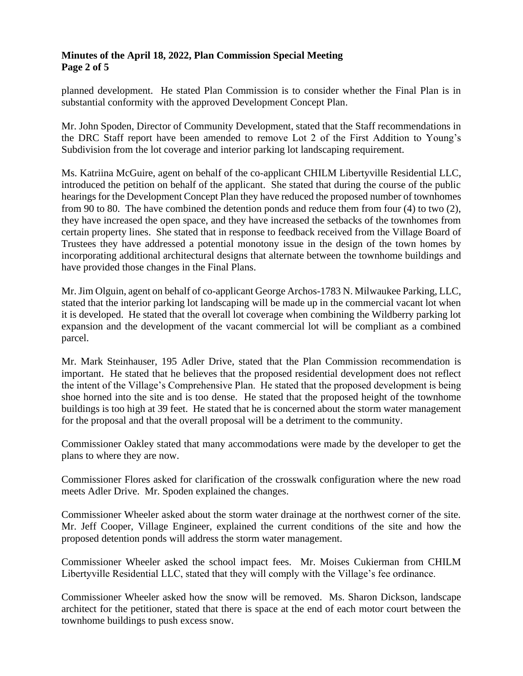### **Minutes of the April 18, 2022, Plan Commission Special Meeting Page 2 of 5**

planned development. He stated Plan Commission is to consider whether the Final Plan is in substantial conformity with the approved Development Concept Plan.

Mr. John Spoden, Director of Community Development, stated that the Staff recommendations in the DRC Staff report have been amended to remove Lot 2 of the First Addition to Young's Subdivision from the lot coverage and interior parking lot landscaping requirement.

Ms. Katriina McGuire, agent on behalf of the co-applicant CHILM Libertyville Residential LLC, introduced the petition on behalf of the applicant. She stated that during the course of the public hearings for the Development Concept Plan they have reduced the proposed number of townhomes from 90 to 80. The have combined the detention ponds and reduce them from four (4) to two (2), they have increased the open space, and they have increased the setbacks of the townhomes from certain property lines. She stated that in response to feedback received from the Village Board of Trustees they have addressed a potential monotony issue in the design of the town homes by incorporating additional architectural designs that alternate between the townhome buildings and have provided those changes in the Final Plans.

Mr. Jim Olguin, agent on behalf of co-applicant George Archos-1783 N. Milwaukee Parking, LLC, stated that the interior parking lot landscaping will be made up in the commercial vacant lot when it is developed. He stated that the overall lot coverage when combining the Wildberry parking lot expansion and the development of the vacant commercial lot will be compliant as a combined parcel.

Mr. Mark Steinhauser, 195 Adler Drive, stated that the Plan Commission recommendation is important. He stated that he believes that the proposed residential development does not reflect the intent of the Village's Comprehensive Plan. He stated that the proposed development is being shoe horned into the site and is too dense. He stated that the proposed height of the townhome buildings is too high at 39 feet. He stated that he is concerned about the storm water management for the proposal and that the overall proposal will be a detriment to the community.

Commissioner Oakley stated that many accommodations were made by the developer to get the plans to where they are now.

Commissioner Flores asked for clarification of the crosswalk configuration where the new road meets Adler Drive. Mr. Spoden explained the changes.

Commissioner Wheeler asked about the storm water drainage at the northwest corner of the site. Mr. Jeff Cooper, Village Engineer, explained the current conditions of the site and how the proposed detention ponds will address the storm water management.

Commissioner Wheeler asked the school impact fees. Mr. Moises Cukierman from CHILM Libertyville Residential LLC, stated that they will comply with the Village's fee ordinance.

Commissioner Wheeler asked how the snow will be removed. Ms. Sharon Dickson, landscape architect for the petitioner, stated that there is space at the end of each motor court between the townhome buildings to push excess snow.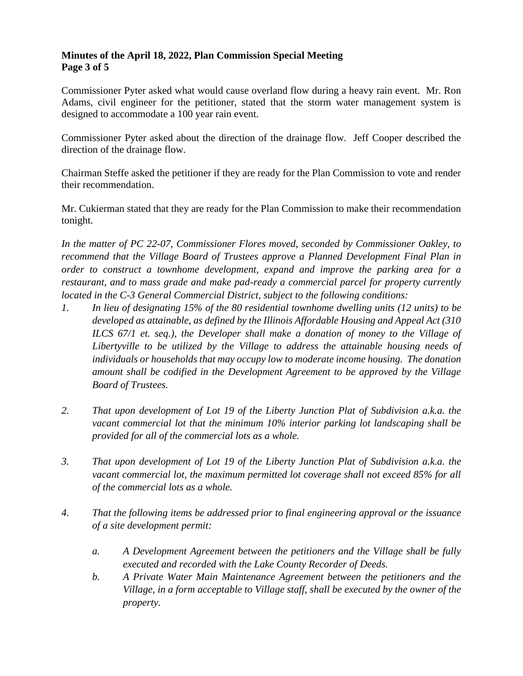### **Minutes of the April 18, 2022, Plan Commission Special Meeting Page 3 of 5**

Commissioner Pyter asked what would cause overland flow during a heavy rain event. Mr. Ron Adams, civil engineer for the petitioner, stated that the storm water management system is designed to accommodate a 100 year rain event.

Commissioner Pyter asked about the direction of the drainage flow. Jeff Cooper described the direction of the drainage flow.

Chairman Steffe asked the petitioner if they are ready for the Plan Commission to vote and render their recommendation.

Mr. Cukierman stated that they are ready for the Plan Commission to make their recommendation tonight.

*In the matter of PC 22-07, Commissioner Flores moved, seconded by Commissioner Oakley, to recommend that the Village Board of Trustees approve a Planned Development Final Plan in order to construct a townhome development, expand and improve the parking area for a restaurant, and to mass grade and make pad-ready a commercial parcel for property currently located in the C-3 General Commercial District, subject to the following conditions:*

- *1. In lieu of designating 15% of the 80 residential townhome dwelling units (12 units) to be developed as attainable, as defined by the Illinois Affordable Housing and Appeal Act (310*  ILCS 67/1 et. seg.), the Developer shall make a donation of money to the Village of *Libertyville to be utilized by the Village to address the attainable housing needs of individuals or households that may occupy low to moderate income housing. The donation amount shall be codified in the Development Agreement to be approved by the Village Board of Trustees.*
- *2. That upon development of Lot 19 of the Liberty Junction Plat of Subdivision a.k.a. the vacant commercial lot that the minimum 10% interior parking lot landscaping shall be provided for all of the commercial lots as a whole.*
- *3. That upon development of Lot 19 of the Liberty Junction Plat of Subdivision a.k.a. the vacant commercial lot, the maximum permitted lot coverage shall not exceed 85% for all of the commercial lots as a whole.*
- *4. That the following items be addressed prior to final engineering approval or the issuance of a site development permit:*
	- *a. A Development Agreement between the petitioners and the Village shall be fully executed and recorded with the Lake County Recorder of Deeds.*
	- *b. A Private Water Main Maintenance Agreement between the petitioners and the Village, in a form acceptable to Village staff, shall be executed by the owner of the property.*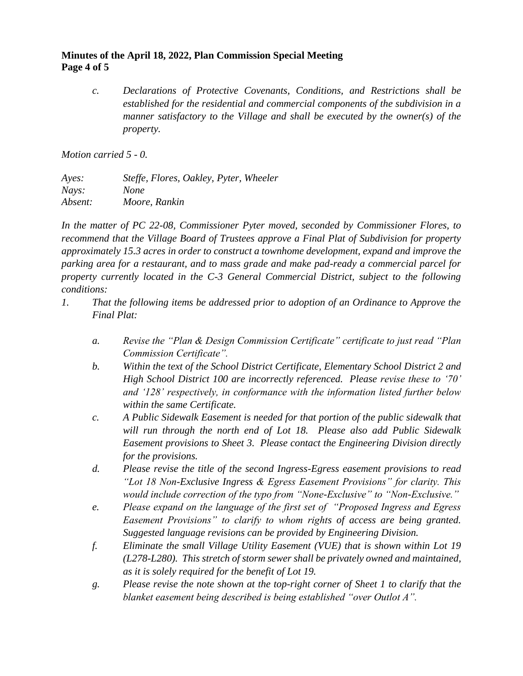## **Minutes of the April 18, 2022, Plan Commission Special Meeting Page 4 of 5**

*c. Declarations of Protective Covenants, Conditions, and Restrictions shall be established for the residential and commercial components of the subdivision in a manner satisfactory to the Village and shall be executed by the owner(s) of the property.*

*Motion carried 5 - 0.*

*Ayes: Steffe, Flores, Oakley, Pyter, Wheeler Nays: None Absent: Moore, Rankin*

*In the matter of PC 22-08, Commissioner Pyter moved, seconded by Commissioner Flores, to recommend that the Village Board of Trustees approve a Final Plat of Subdivision for property approximately 15.3 acres in order to construct a townhome development, expand and improve the parking area for a restaurant, and to mass grade and make pad-ready a commercial parcel for property currently located in the C-3 General Commercial District, subject to the following conditions:*

- *1. That the following items be addressed prior to adoption of an Ordinance to Approve the Final Plat:*
	- *a. Revise the "Plan & Design Commission Certificate" certificate to just read "Plan Commission Certificate".*
	- *b. Within the text of the School District Certificate, Elementary School District 2 and High School District 100 are incorrectly referenced. Please revise these to '70' and '128' respectively, in conformance with the information listed further below within the same Certificate.*
	- *c. A Public Sidewalk Easement is needed for that portion of the public sidewalk that will run through the north end of Lot 18. Please also add Public Sidewalk Easement provisions to Sheet 3. Please contact the Engineering Division directly for the provisions.*
	- *d. Please revise the title of the second Ingress-Egress easement provisions to read "Lot 18 Non-Exclusive Ingress & Egress Easement Provisions" for clarity. This would include correction of the typo from "None-Exclusive" to "Non-Exclusive."*
	- *e. Please expand on the language of the first set of "Proposed Ingress and Egress Easement Provisions" to clarify to whom rights of access are being granted. Suggested language revisions can be provided by Engineering Division.*
	- *f. Eliminate the small Village Utility Easement (VUE) that is shown within Lot 19 (L278-L280). This stretch of storm sewer shall be privately owned and maintained, as it is solely required for the benefit of Lot 19.*
	- *g. Please revise the note shown at the top-right corner of Sheet 1 to clarify that the blanket easement being described is being established "over Outlot A".*